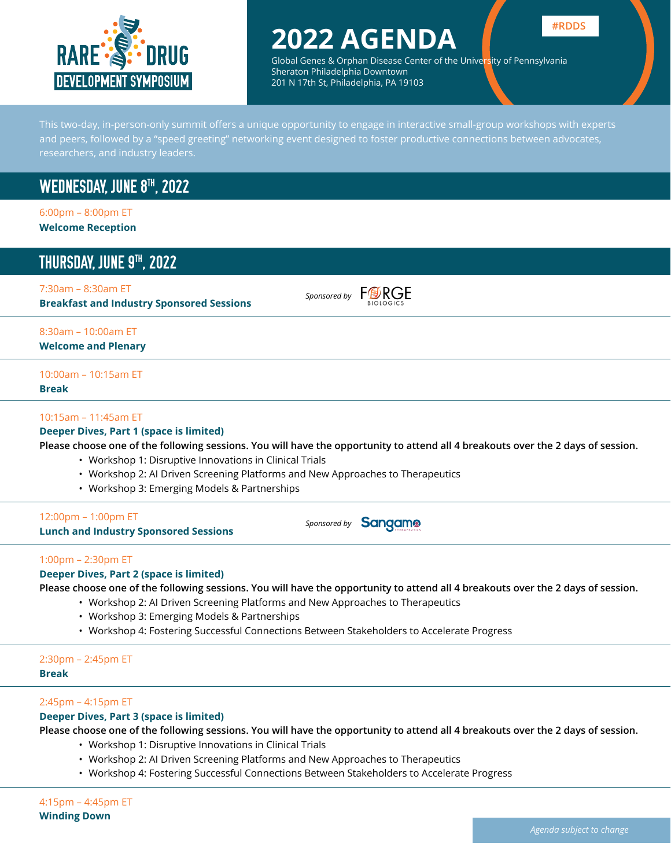

## **2022 AGENDA**



Global Genes & Orphan Disease Center of the University of Pennsylvania Sheraton Philadelphia Downtown 201 N 17th St, Philadelphia, PA 19103

This two-day, in-person-only summit offers a unique opportunity to engage in interactive small-group workshops with experts and peers, followed by a "speed greeting" networking event designed to foster productive connections between advocates, researchers, and industry leaders.

## WEDNESDAY, JUNE 8<sup>TH</sup>, 2022

6:00pm – 8:00pm ET **Welcome Reception**

## THURSDAY, JUNE 9™, 2022

#### 7:30am – 8:30am ET

**Breakfast and Industry Sponsored Sessions**

*Sponsored by* FORGE

#### 8:30am – 10:00am ET **Welcome and Plenary**

### 10:00am – 10:15am ET

**Break**

#### 10:15am – 11:45am ET

#### **Deeper Dives, Part 1 (space is limited)**

**Please choose one of the following sessions. You will have the opportunity to attend all 4 breakouts over the 2 days of session.** 

- Workshop 1: Disruptive Innovations in Clinical Trials
- Workshop 2: AI Driven Screening Platforms and New Approaches to Therapeutics
- Workshop 3: Emerging Models & Partnerships

#### 12:00pm – 1:00pm ET

**Lunch and Industry Sponsored Sessions**

**Sponsored by Sangamo** 

#### 1:00pm – 2:30pm ET

#### **Deeper Dives, Part 2 (space is limited)**

**Please choose one of the following sessions. You will have the opportunity to attend all 4 breakouts over the 2 days of session.** 

- Workshop 2: AI Driven Screening Platforms and New Approaches to Therapeutics
- Workshop 3: Emerging Models & Partnerships
- Workshop 4: Fostering Successful Connections Between Stakeholders to Accelerate Progress

### 2:30pm – 2:45pm ET

**Break**

#### 2:45pm – 4:15pm ET

#### **Deeper Dives, Part 3 (space is limited)**

**Please choose one of the following sessions. You will have the opportunity to attend all 4 breakouts over the 2 days of session.** 

- Workshop 1: Disruptive Innovations in Clinical Trials
- Workshop 2: AI Driven Screening Platforms and New Approaches to Therapeutics
- Workshop 4: Fostering Successful Connections Between Stakeholders to Accelerate Progress